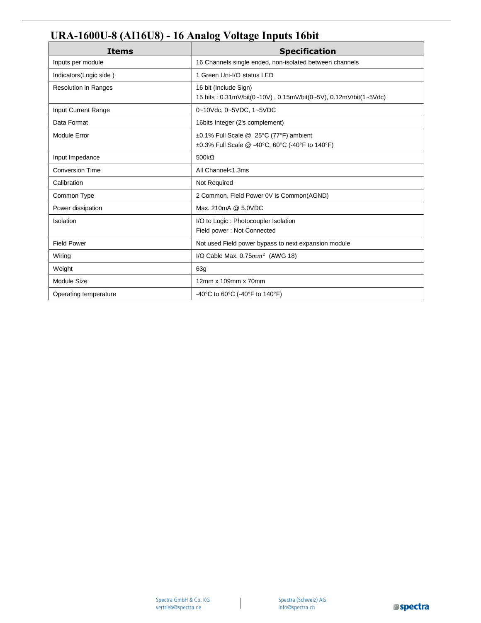## **URA-1600U-8 (AI16U8) - 16 Analog Voltage Inputs 16bit**

| <b>Items</b>                | <b>Specification</b>                                                                      |
|-----------------------------|-------------------------------------------------------------------------------------------|
| Inputs per module           | 16 Channels single ended, non-isolated between channels                                   |
| Indicators(Logic side)      | 1 Green Uni-I/O status LED                                                                |
| <b>Resolution in Ranges</b> | 16 bit (Include Sign)<br>15 bits: 0.31mV/bit(0~10V), 0.15mV/bit(0~5V), 0.12mV/bit(1~5Vdc) |
| Input Current Range         | 0~10Vdc, 0~5VDC, 1~5VDC                                                                   |
| Data Format                 | 16bits Integer (2's complement)                                                           |
| Module Error                | ±0.1% Full Scale @ 25°C (77°F) ambient<br>±0.3% Full Scale @ -40°C, 60°C (-40°F to 140°F) |
| Input Impedance             | 500 $k\Omega$                                                                             |
| <b>Conversion Time</b>      | All Channel<1.3ms                                                                         |
| Calibration                 | Not Required                                                                              |
| Common Type                 | 2 Common, Field Power 0V is Common(AGND)                                                  |
| Power dissipation           | Max. 210mA @ 5.0VDC                                                                       |
| Isolation                   | I/O to Logic: Photocoupler Isolation<br>Field power: Not Connected                        |
| <b>Field Power</b>          | Not used Field power bypass to next expansion module                                      |
| Wiring                      | I/O Cable Max. $0.75mm^2$ (AWG 18)                                                        |
| Weight                      | 63g                                                                                       |
| Module Size                 | 12mm x 109mm x 70mm                                                                       |
| Operating temperature       | -40°C to 60°C (-40°F to 140°F)                                                            |

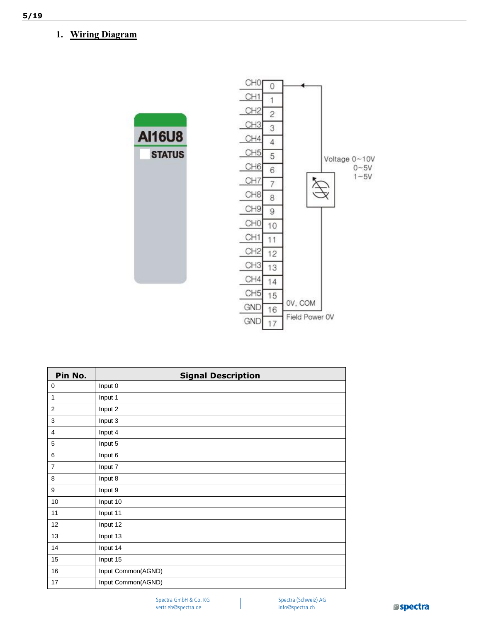## **1. Wiring Diagram**



| Pin No.        | <b>Signal Description</b> |
|----------------|---------------------------|
| 0              | Input 0                   |
| $\mathbf{1}$   | Input 1                   |
| $\overline{2}$ | Input 2                   |
| 3              | Input 3                   |
| 4              | Input 4                   |
| 5              | Input 5                   |
| 6              | Input 6                   |
| $\overline{7}$ | Input 7                   |
| 8              | Input 8                   |
| 9              | Input 9                   |
| 10             | Input 10                  |
| 11             | Input 11                  |
| 12             | Input 12                  |
| 13             | Input 13                  |
| 14             | Input 14                  |
| 15             | Input 15                  |
| 16             | Input Common(AGND)        |
| 17             | Input Common(AGND)        |